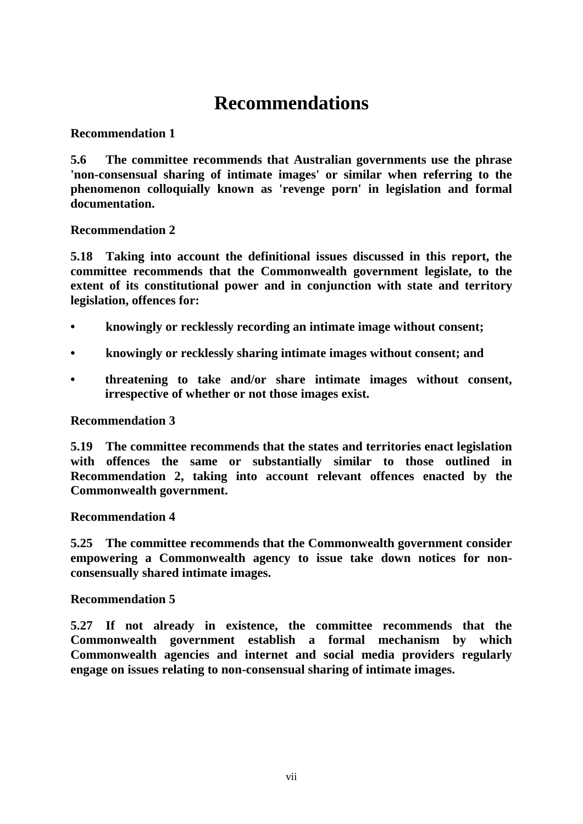# **Recommendations**

## **Recommendation 1**

**5.6 The committee recommends that Australian governments use the phrase 'non-consensual sharing of intimate images' or similar when referring to the phenomenon colloquially known as 'revenge porn' in legislation and formal documentation.**

## **Recommendation 2**

**5.18 Taking into account the definitional issues discussed in this report, the committee recommends that the Commonwealth government legislate, to the extent of its constitutional power and in conjunction with state and territory legislation, offences for:**

- **• knowingly or recklessly recording an intimate image without consent;**
- **• knowingly or recklessly sharing intimate images without consent; and**
- **• threatening to take and/or share intimate images without consent, irrespective of whether or not those images exist.**

### **Recommendation 3**

**5.19 The committee recommends that the states and territories enact legislation with offences the same or substantially similar to those outlined in Recommendation 2, taking into account relevant offences enacted by the Commonwealth government.**

### **Recommendation 4**

**5.25 The committee recommends that the Commonwealth government consider empowering a Commonwealth agency to issue take down notices for nonconsensually shared intimate images.**

#### **Recommendation 5**

**5.27 If not already in existence, the committee recommends that the Commonwealth government establish a formal mechanism by which Commonwealth agencies and internet and social media providers regularly engage on issues relating to non-consensual sharing of intimate images.**